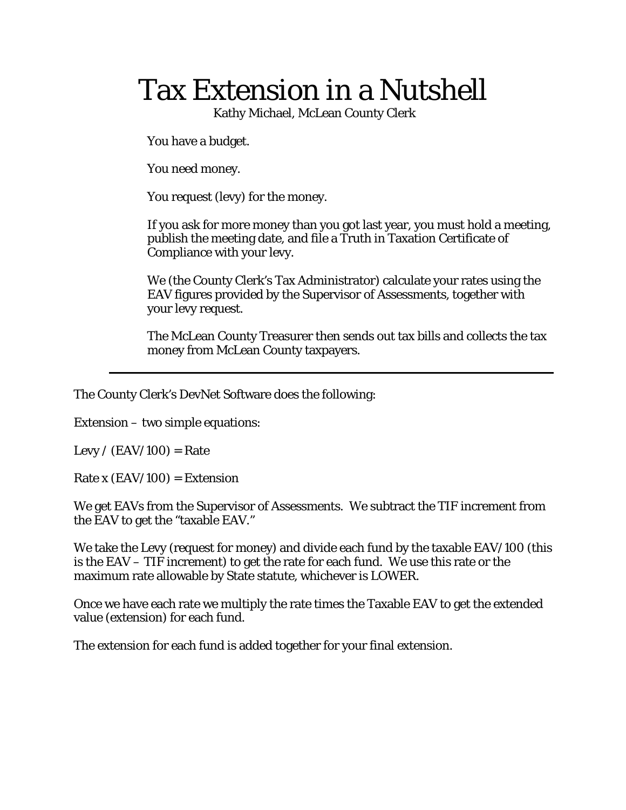# Tax Extension in a Nutshell

Kathy Michael, McLean County Clerk

You have a budget.

You need money.

You request (levy) for the money.

 If you ask for more money than you got last year, you must hold a meeting, publish the meeting date, and file a Truth in Taxation Certificate of Compliance with your levy.

We (the County Clerk's Tax Administrator) calculate your rates using the EAV figures provided by the Supervisor of Assessments, together with your levy request.

The McLean County Treasurer then sends out tax bills and collects the tax money from McLean County taxpayers.

The County Clerk's DevNet Software does the following:

Extension – two simple equations:

Levy /  $(EAV/100) = Rate$ 

Rate x  $(EAV/100) =$  Extension

We get EAVs from the Supervisor of Assessments. We subtract the TIF increment from the EAV to get the "taxable EAV."

We take the Levy (request for money) and divide each fund by the taxable EAV/100 (this is the EAV – TIF increment) to get the rate for each fund. We use this rate or the maximum rate allowable by State statute, whichever is LOWER.

Once we have each rate we multiply the rate times the Taxable EAV to get the extended value (extension) for each fund.

The extension for each fund is added together for your final extension.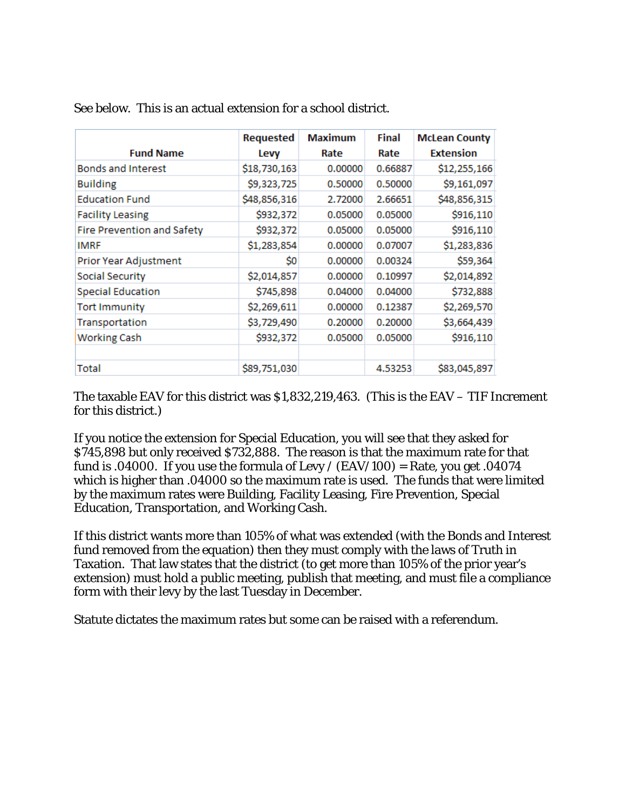| <b>Fund Name</b>           | <b>Requested</b><br>Levy | <b>Maximum</b><br>Rate | <b>Final</b><br>Rate | <b>McLean County</b><br><b>Extension</b> |
|----------------------------|--------------------------|------------------------|----------------------|------------------------------------------|
| <b>Bonds and Interest</b>  | \$18,730,163             | 0.00000                | 0.66887              | \$12,255,166                             |
| <b>Building</b>            | \$9,323,725              | 0.50000                | 0.50000              | \$9,161,097                              |
| <b>Education Fund</b>      | \$48,856,316             | 2.72000                | 2.66651              | \$48,856,315                             |
| <b>Facility Leasing</b>    | \$932,372                | 0.05000                | 0.05000              | \$916,110                                |
| Fire Prevention and Safety | \$932,372                | 0.05000                | 0.05000              | \$916,110                                |
| <b>IMRF</b>                | \$1,283,854              | 0.00000                | 0.07007              | \$1,283,836                              |
| Prior Year Adjustment      | \$0                      | 0.00000                | 0.00324              | \$59,364                                 |
| Social Security            | \$2,014,857              | 0.00000                | 0.10997              | \$2,014,892                              |
| <b>Special Education</b>   | \$745,898                | 0.04000                | 0.04000              | \$732,888                                |
| <b>Tort Immunity</b>       | \$2,269,611              | 0.00000                | 0.12387              | \$2,269,570                              |
| Transportation             | \$3,729,490              | 0.20000                | 0.20000              | \$3,664,439                              |
| <b>Working Cash</b>        | \$932,372                | 0.05000                | 0.05000              | \$916,110                                |
| Total                      | \$89,751,030             |                        | 4.53253              | \$83,045,897                             |

See below. This is an actual extension for a school district.

The taxable EAV for this district was \$1,832,219,463. (This is the EAV – TIF Increment for this district.)

If you notice the extension for Special Education, you will see that they asked for \$745,898 but only received \$732,888. The reason is that the maximum rate for that fund is .04000. If you use the formula of Levy / (EAV/100) = Rate, you get .04074 which is higher than .04000 so the maximum rate is used. The funds that were limited by the maximum rates were Building, Facility Leasing, Fire Prevention, Special Education, Transportation, and Working Cash.

If this district wants more than 105% of what was extended (with the Bonds and Interest fund removed from the equation) then they must comply with the laws of Truth in Taxation. That law states that the district (to get more than 105% of the prior year's extension) must hold a public meeting, publish that meeting, and must file a compliance form with their levy by the last Tuesday in December.

Statute dictates the maximum rates but some can be raised with a referendum.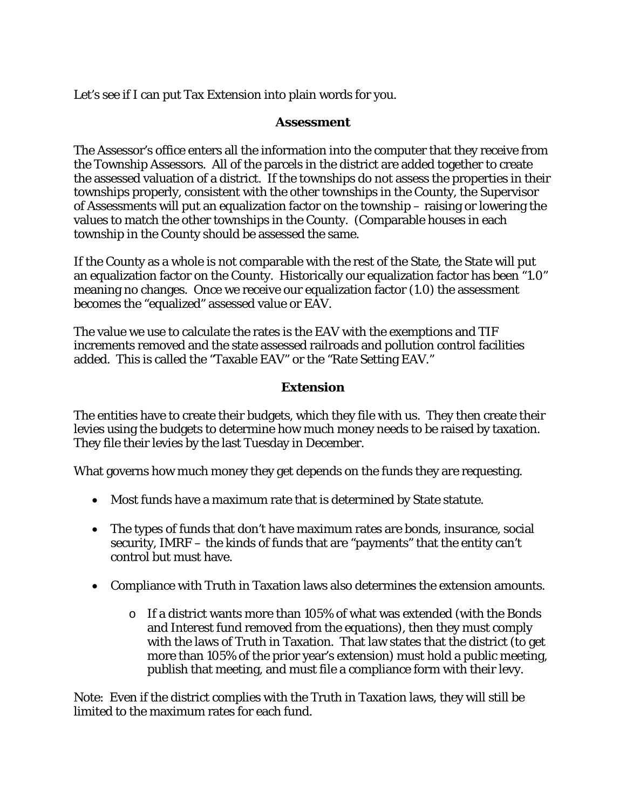Let's see if I can put Tax Extension into plain words for you.

#### **Assessment**

The Assessor's office enters all the information into the computer that they receive from the Township Assessors. All of the parcels in the district are added together to create the assessed valuation of a district. If the townships do not assess the properties in their townships properly, consistent with the other townships in the County, the Supervisor of Assessments will put an equalization factor on the township – raising or lowering the values to match the other townships in the County. (Comparable houses in each township in the County should be assessed the same.

If the County as a whole is not comparable with the rest of the State, the State will put an equalization factor on the County. Historically our equalization factor has been "1.0" meaning no changes. Once we receive our equalization factor (1.0) the assessment becomes the "equalized" assessed value or EAV.

The value we use to calculate the rates is the EAV with the exemptions and TIF increments removed and the state assessed railroads and pollution control facilities added. This is called the "Taxable EAV" or the "Rate Setting EAV."

### **Extension**

The entities have to create their budgets, which they file with us. They then create their levies using the budgets to determine how much money needs to be raised by taxation. They file their levies by the last Tuesday in December.

What governs how much money they get depends on the funds they are requesting.

- Most funds have a maximum rate that is determined by State statute.
- The types of funds that don't have maximum rates are bonds, insurance, social security, IMRF – the kinds of funds that are "payments" that the entity can't control but must have.
- Compliance with Truth in Taxation laws also determines the extension amounts.
	- $\circ$  If a district wants more than 105% of what was extended (with the Bonds and Interest fund removed from the equations), then they must comply with the laws of Truth in Taxation. That law states that the district (to get more than 105% of the prior year's extension) must hold a public meeting, publish that meeting, and must file a compliance form with their levy.

Note: Even if the district complies with the Truth in Taxation laws, they will still be limited to the maximum rates for each fund.